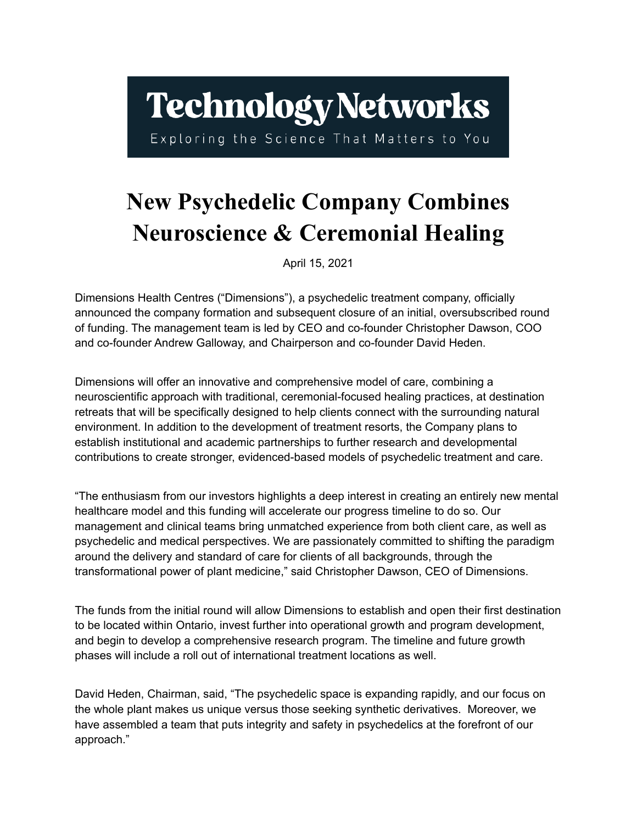## **Technology Networks**

Exploring the Science That Matters to You

## **New Psychedelic Company Combines Neuroscience & Ceremonial Healing**

April 15, 2021

Dimensions Health Centres ("Dimensions"), a psychedelic treatment company, officially announced the company formation and subsequent closure of an initial, oversubscribed round of funding. The management team is led by CEO and co-founder Christopher Dawson, COO and co-founder Andrew Galloway, and Chairperson and co-founder David Heden.

Dimensions will offer an innovative and comprehensive model of care, combining a neuroscientific approach with traditional, ceremonial-focused healing practices, at destination retreats that will be specifically designed to help clients connect with the surrounding natural environment. In addition to the development of treatment resorts, the Company plans to establish institutional and academic partnerships to further research and developmental contributions to create stronger, evidenced-based models of psychedelic treatment and care.

"The enthusiasm from our investors highlights a deep interest in creating an entirely new mental healthcare model and this funding will accelerate our progress timeline to do so. Our management and clinical teams bring unmatched experience from both client care, as well as psychedelic and medical perspectives. We are passionately committed to shifting the paradigm around the delivery and standard of care for clients of all backgrounds, through the transformational power of plant medicine," said Christopher Dawson, CEO of Dimensions.

The funds from the initial round will allow Dimensions to establish and open their first destination to be located within Ontario, invest further into operational growth and program development, and begin to develop a comprehensive research program. The timeline and future growth phases will include a roll out of international treatment locations as well.

David Heden, Chairman, said, "The psychedelic space is expanding rapidly, and our focus on the whole plant makes us unique versus those seeking synthetic derivatives. Moreover, we have assembled a team that puts integrity and safety in psychedelics at the forefront of our approach."